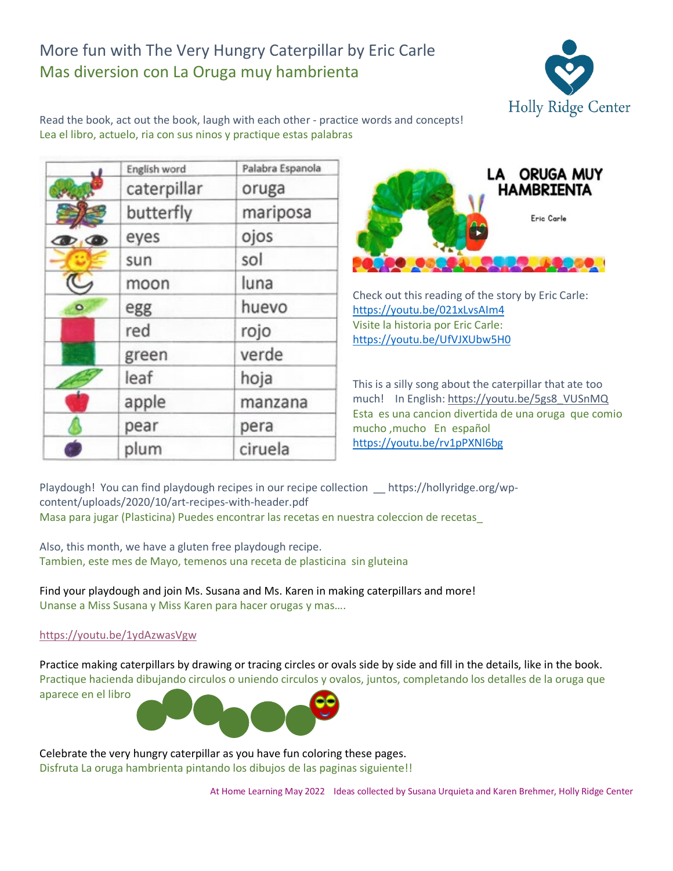## More fun with The Very Hungry Caterpillar by Eric Carle Mas diversion con La Oruga muy hambrienta



Read the book, act out the book, laugh with each other - practice words and concepts! Lea el libro, actuelo, ria con sus ninos y practique estas palabras

|                               | English word | Palabra Espanola |
|-------------------------------|--------------|------------------|
|                               | caterpillar  | oruga            |
|                               | butterfly    | mariposa         |
| $\mathcal{D}$ , $\mathcal{D}$ | eyes         | ojos             |
|                               | sun          | sol              |
|                               | moon         | luna             |
| $\bullet$                     | egg          | huevo            |
|                               | red          | rojo             |
|                               | green        | verde            |
|                               | leaf         | hoja             |
|                               | apple        | manzana          |
|                               | pear         | pera             |
|                               | plum         | ciruela          |



Check out this reading of the story by Eric Carle: <https://youtu.be/021xLvsAIm4> Visite la historia por Eric Carle: <https://youtu.be/UfVJXUbw5H0>

This is a silly song about the caterpillar that ate too much! In English: [https://youtu.be/5gs8\\_VUSnMQ](https://youtu.be/5gs8_VUSnMQ) Esta es una cancion divertida de una oruga que comio mucho ,mucho En español <https://youtu.be/rv1pPXNl6bg>

Playdough! You can find playdough recipes in our recipe collection \_\_ https://hollyridge.org/wpcontent/uploads/2020/10/art-recipes-with-header.pdf Masa para jugar (Plasticina) Puedes encontrar las recetas en nuestra coleccion de recetas\_

Also, this month, we have a gluten free playdough recipe. Tambien, este mes de Mayo, temenos una receta de plasticina sin gluteina

Find your playdough and join Ms. Susana and Ms. Karen in making caterpillars and more! Unanse a Miss Susana y Miss Karen para hacer orugas y mas….

## <https://youtu.be/1ydAzwasVgw>

Practice making caterpillars by drawing or tracing circles or ovals side by side and fill in the details, like in the book. Practique hacienda dibujando circulos o uniendo circulos y ovalos, juntos, completando los detalles de la oruga que aparece en el libro



Celebrate the very hungry caterpillar as you have fun coloring these pages. Disfruta La oruga hambrienta pintando los dibujos de las paginas siguiente!!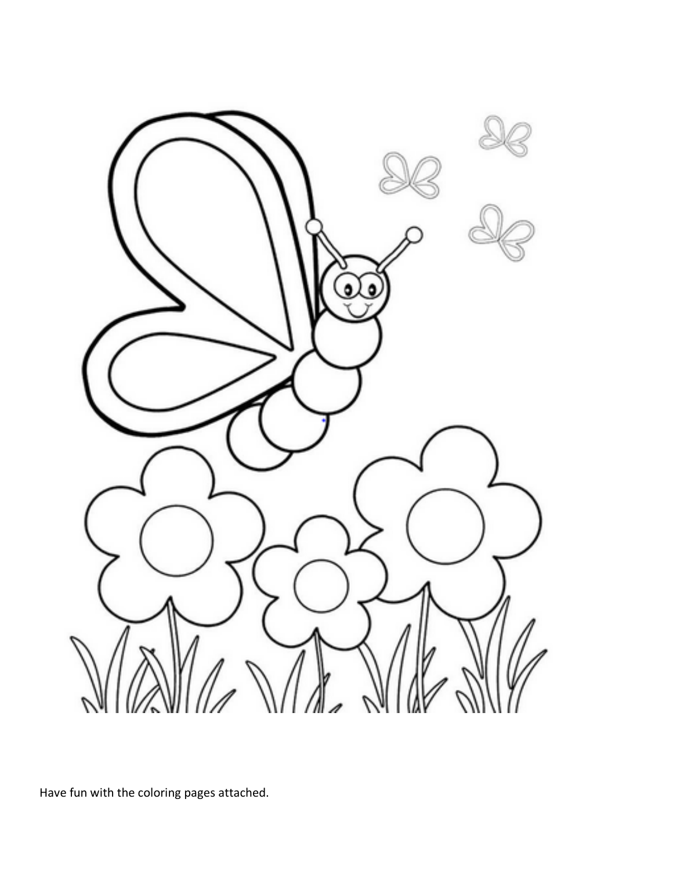

Have fun with the coloring pages attached.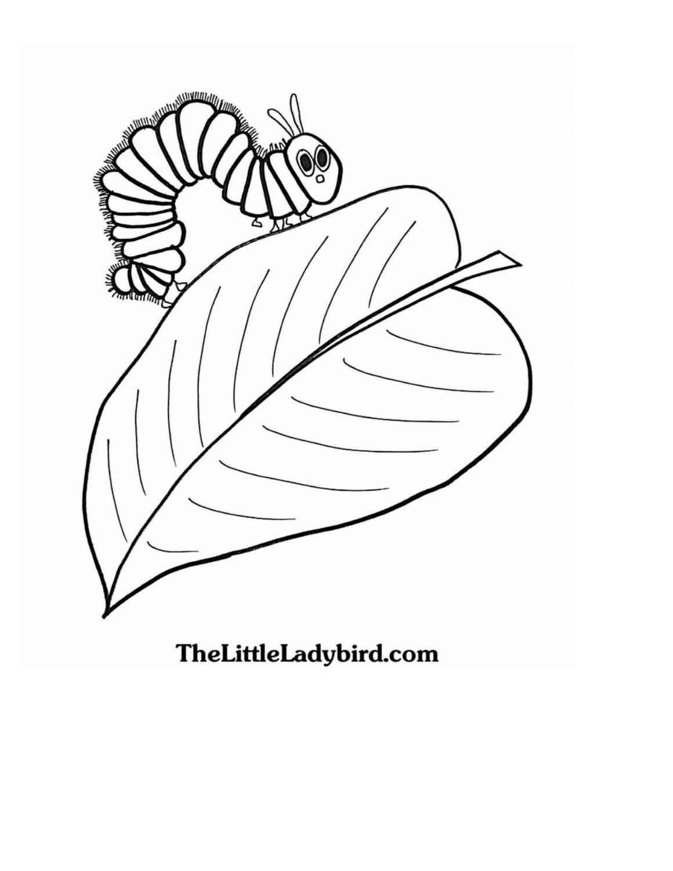

TheLittleLadybird.com